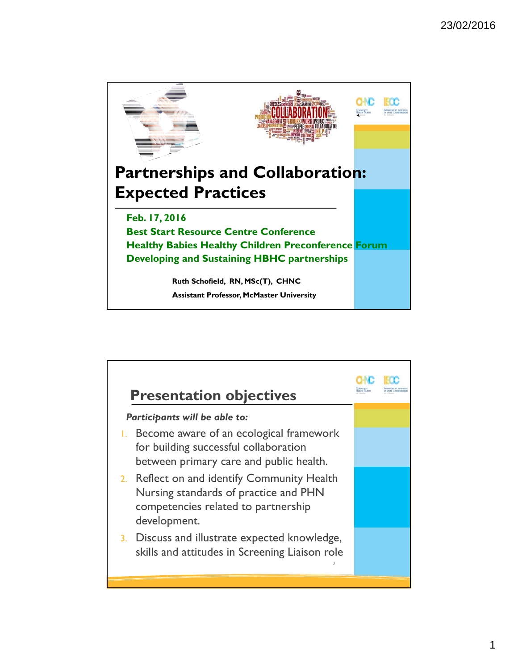

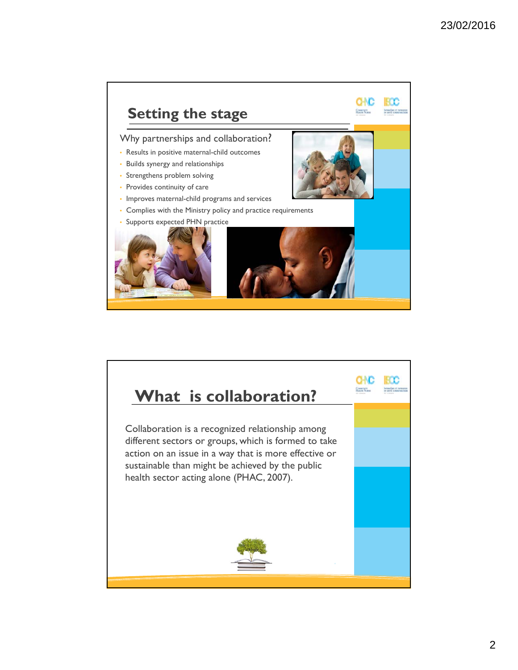

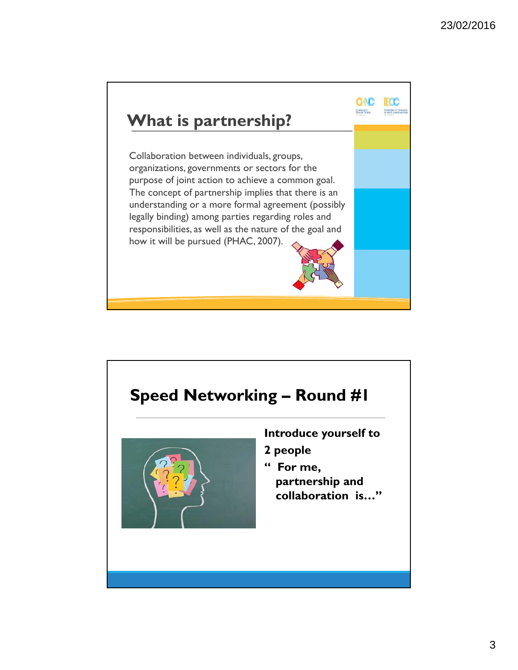

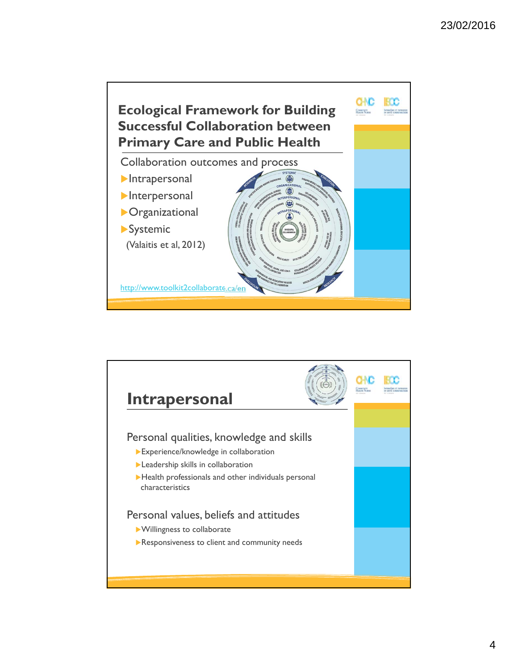

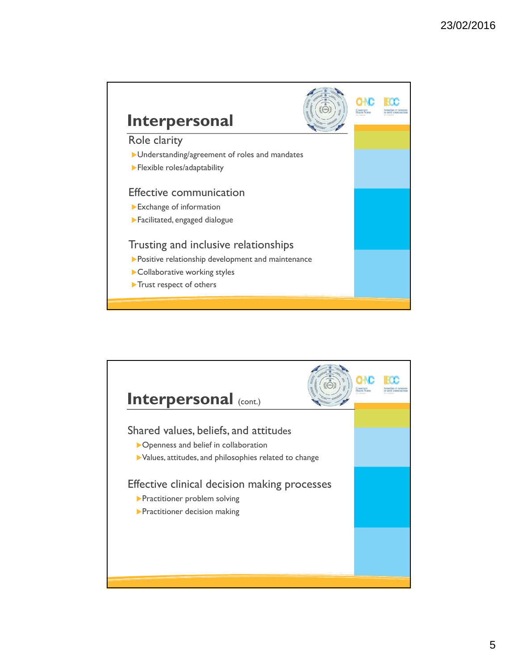

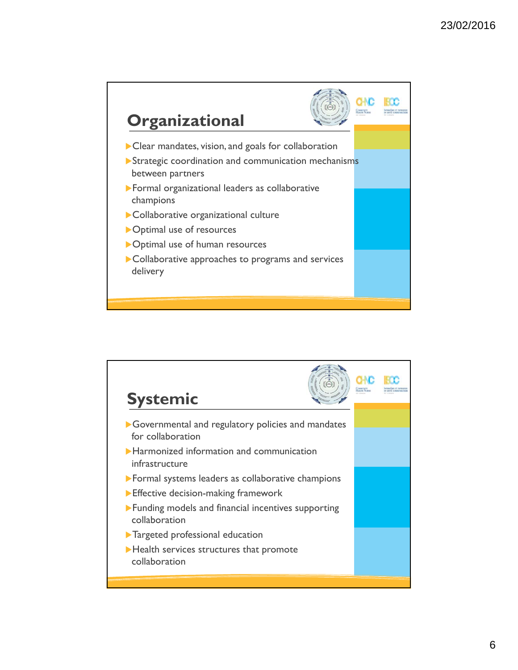

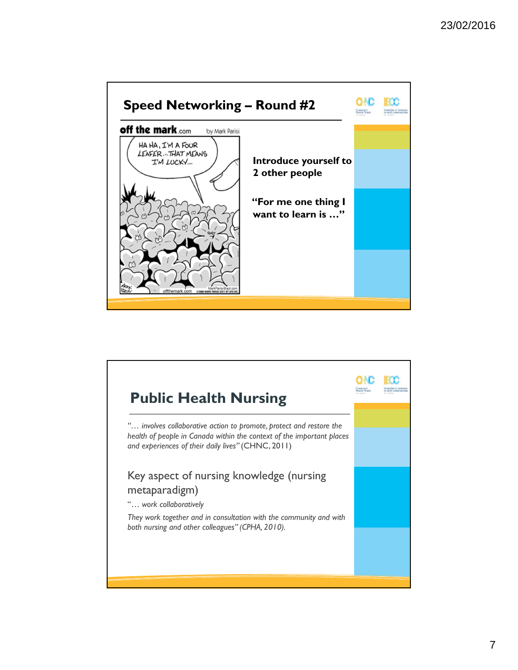

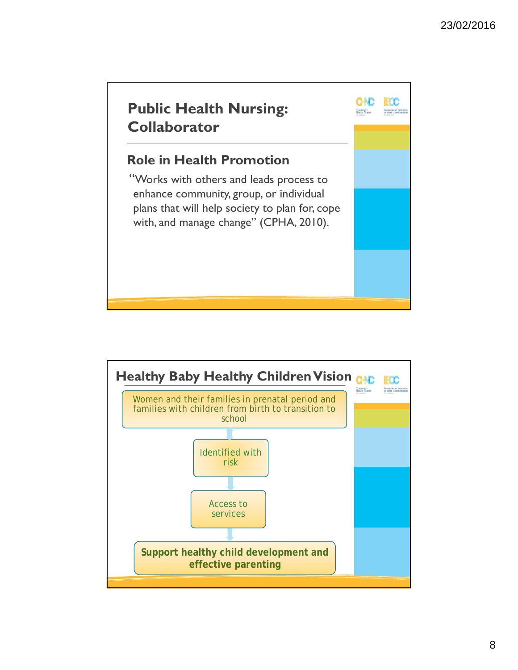

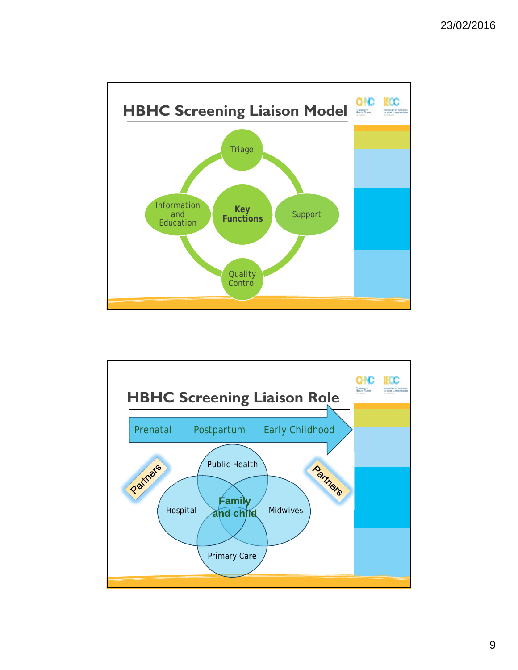

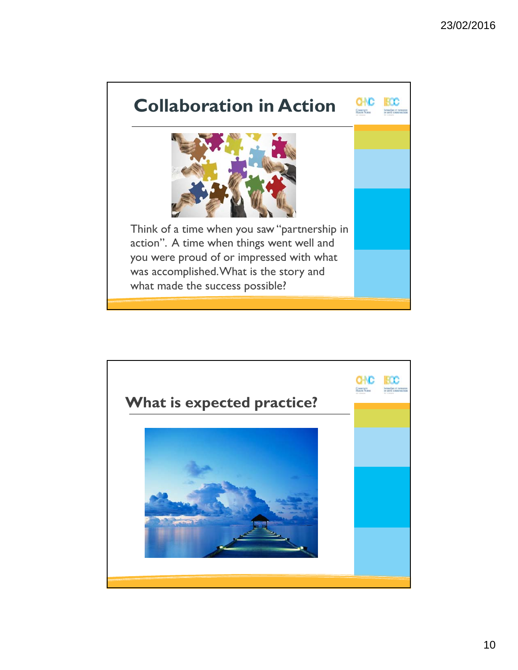

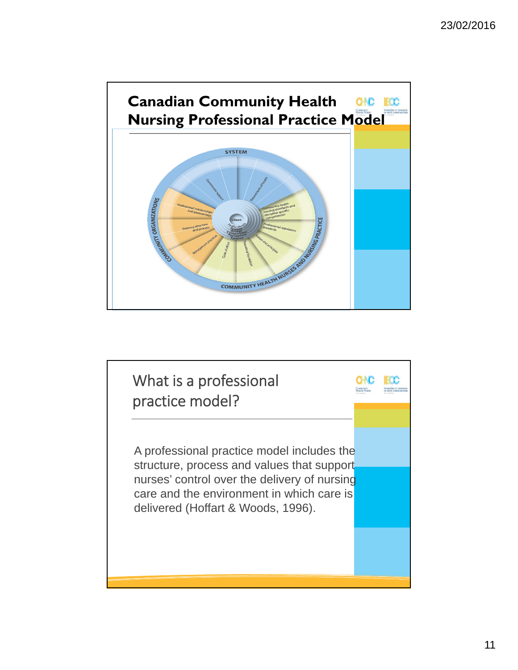

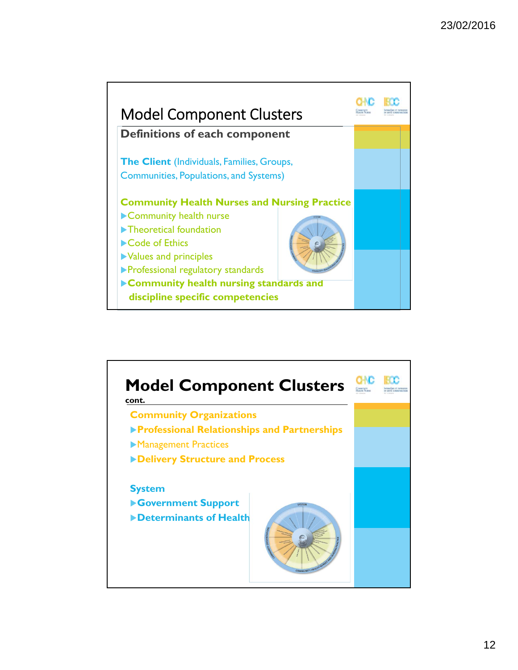

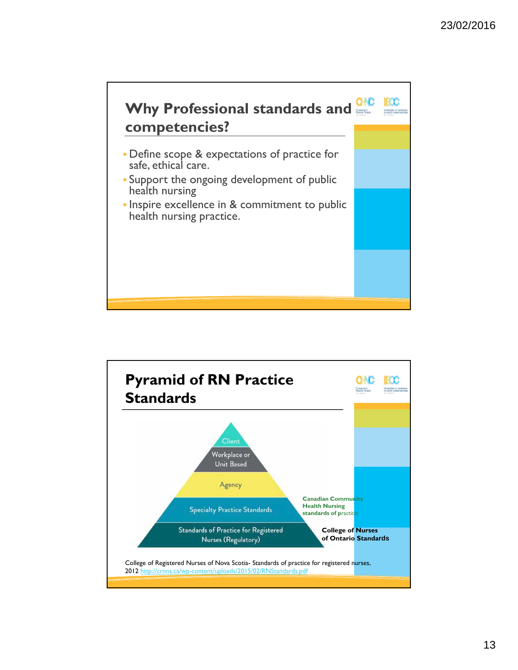

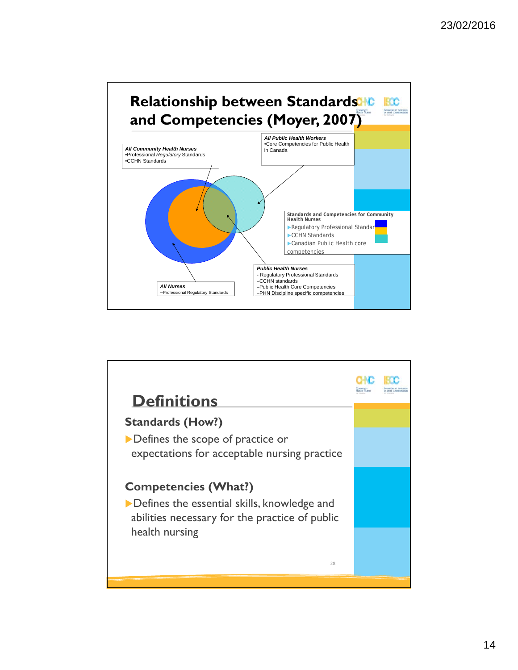

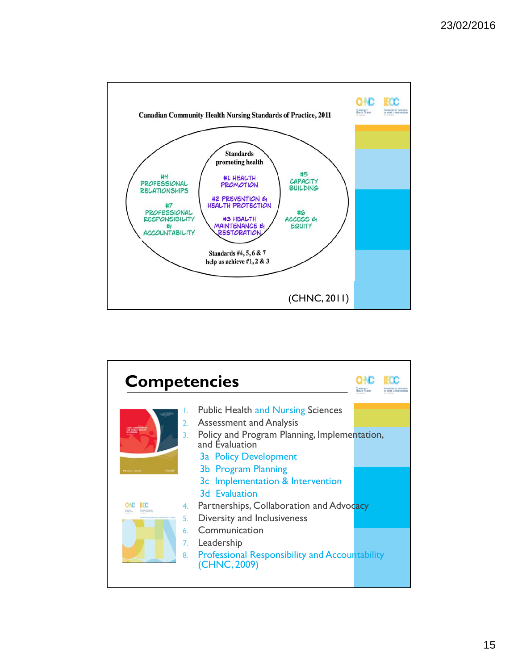

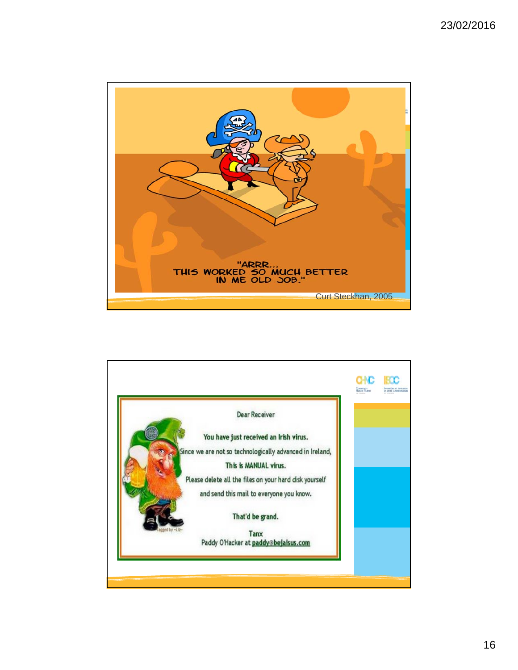

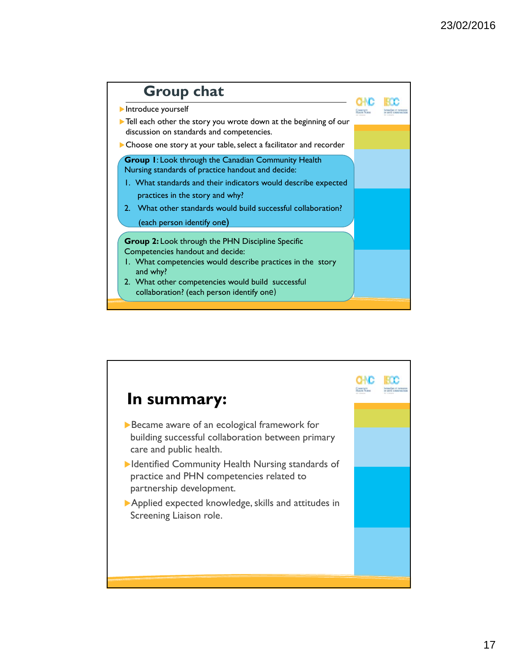